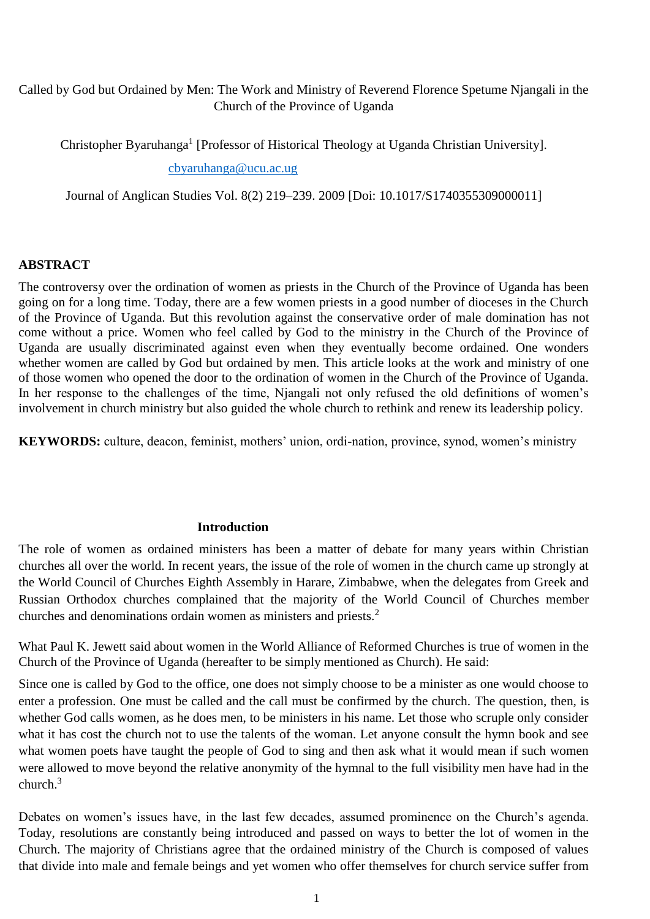Called by God but Ordained by Men: The Work and Ministry of Reverend Florence Spetume Njangali in the Church of the Province of Uganda

Christopher Byaruhanga<sup>1</sup> [Professor of Historical Theology at Uganda Christian University]. [cbyaruhanga@ucu.ac.ug](mailto:cbyaruhanga@ucu.ac.ug)

Journal of Anglican Studies Vol. 8(2) 219–239. 2009 [Doi: 10.1017/S1740355309000011]

## **ABSTRACT**

The controversy over the ordination of women as priests in the Church of the Province of Uganda has been going on for a long time. Today, there are a few women priests in a good number of dioceses in the Church of the Province of Uganda. But this revolution against the conservative order of male domination has not come without a price. Women who feel called by God to the ministry in the Church of the Province of Uganda are usually discriminated against even when they eventually become ordained. One wonders whether women are called by God but ordained by men. This article looks at the work and ministry of one of those women who opened the door to the ordination of women in the Church of the Province of Uganda. In her response to the challenges of the time, Njangali not only refused the old definitions of women's involvement in church ministry but also guided the whole church to rethink and renew its leadership policy.

**KEYWORDS:** culture, deacon, feminist, mothers' union, ordi-nation, province, synod, women's ministry

## **Introduction**

The role of women as ordained ministers has been a matter of debate for many years within Christian churches all over the world. In recent years, the issue of the role of women in the church came up strongly at the World Council of Churches Eighth Assembly in Harare, Zimbabwe, when the delegates from Greek and Russian Orthodox churches complained that the majority of the World Council of Churches member churches and denominations ordain women as ministers and priests.<sup>2</sup>

What Paul K. Jewett said about women in the World Alliance of Reformed Churches is true of women in the Church of the Province of Uganda (hereafter to be simply mentioned as Church). He said:

Since one is called by God to the office, one does not simply choose to be a minister as one would choose to enter a profession. One must be called and the call must be confirmed by the church. The question, then, is whether God calls women, as he does men, to be ministers in his name. Let those who scruple only consider what it has cost the church not to use the talents of the woman. Let anyone consult the hymn book and see what women poets have taught the people of God to sing and then ask what it would mean if such women were allowed to move beyond the relative anonymity of the hymnal to the full visibility men have had in the church.<sup>3</sup>

Debates on women's issues have, in the last few decades, assumed prominence on the Church's agenda. Today, resolutions are constantly being introduced and passed on ways to better the lot of women in the Church. The majority of Christians agree that the ordained ministry of the Church is composed of values that divide into male and female beings and yet women who offer themselves for church service suffer from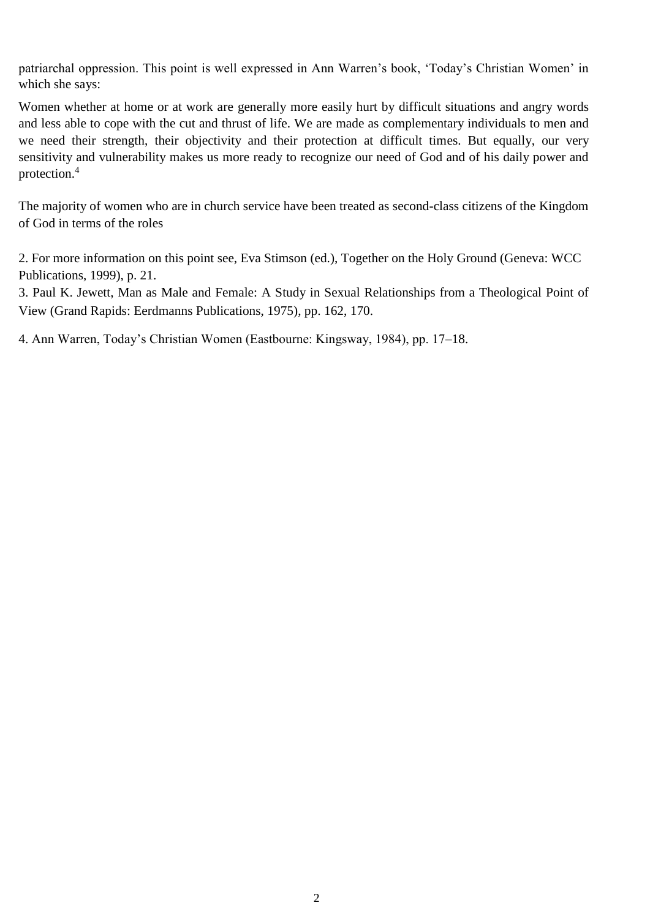patriarchal oppression. This point is well expressed in Ann Warren's book, 'Today's Christian Women' in which she says:

Women whether at home or at work are generally more easily hurt by difficult situations and angry words and less able to cope with the cut and thrust of life. We are made as complementary individuals to men and we need their strength, their objectivity and their protection at difficult times. But equally, our very sensitivity and vulnerability makes us more ready to recognize our need of God and of his daily power and protection.<sup>4</sup>

The majority of women who are in church service have been treated as second-class citizens of the Kingdom of God in terms of the roles

2. For more information on this point see, Eva Stimson (ed.), Together on the Holy Ground (Geneva: WCC Publications, 1999), p. 21.

3. Paul K. Jewett, Man as Male and Female: A Study in Sexual Relationships from a Theological Point of View (Grand Rapids: Eerdmanns Publications, 1975), pp. 162, 170.

4. Ann Warren, Today's Christian Women (Eastbourne: Kingsway, 1984), pp. 17–18.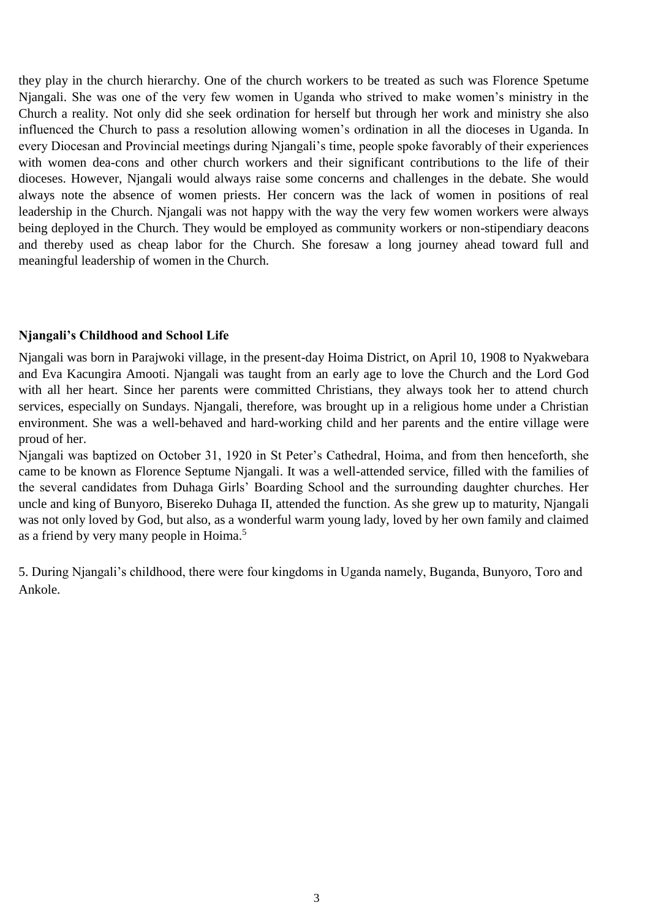they play in the church hierarchy. One of the church workers to be treated as such was Florence Spetume Njangali. She was one of the very few women in Uganda who strived to make women's ministry in the Church a reality. Not only did she seek ordination for herself but through her work and ministry she also influenced the Church to pass a resolution allowing women's ordination in all the dioceses in Uganda. In every Diocesan and Provincial meetings during Njangali's time, people spoke favorably of their experiences with women dea-cons and other church workers and their significant contributions to the life of their dioceses. However, Njangali would always raise some concerns and challenges in the debate. She would always note the absence of women priests. Her concern was the lack of women in positions of real leadership in the Church. Njangali was not happy with the way the very few women workers were always being deployed in the Church. They would be employed as community workers or non-stipendiary deacons and thereby used as cheap labor for the Church. She foresaw a long journey ahead toward full and meaningful leadership of women in the Church.

# **Njangali's Childhood and School Life**

Njangali was born in Parajwoki village, in the present-day Hoima District, on April 10, 1908 to Nyakwebara and Eva Kacungira Amooti. Njangali was taught from an early age to love the Church and the Lord God with all her heart. Since her parents were committed Christians, they always took her to attend church services, especially on Sundays. Njangali, therefore, was brought up in a religious home under a Christian environment. She was a well-behaved and hard-working child and her parents and the entire village were proud of her.

Njangali was baptized on October 31, 1920 in St Peter's Cathedral, Hoima, and from then henceforth, she came to be known as Florence Septume Njangali. It was a well-attended service, filled with the families of the several candidates from Duhaga Girls' Boarding School and the surrounding daughter churches. Her uncle and king of Bunyoro, Bisereko Duhaga II, attended the function. As she grew up to maturity, Njangali was not only loved by God, but also, as a wonderful warm young lady, loved by her own family and claimed as a friend by very many people in Hoima.<sup>5</sup>

5. During Njangali's childhood, there were four kingdoms in Uganda namely, Buganda, Bunyoro, Toro and Ankole.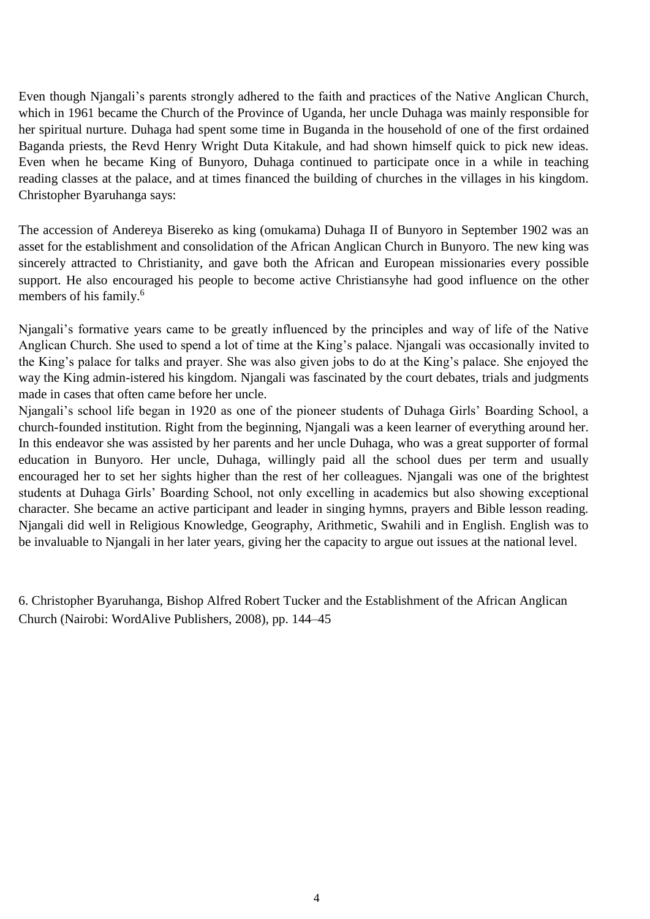Even though Njangali's parents strongly adhered to the faith and practices of the Native Anglican Church, which in 1961 became the Church of the Province of Uganda, her uncle Duhaga was mainly responsible for her spiritual nurture. Duhaga had spent some time in Buganda in the household of one of the first ordained Baganda priests, the Revd Henry Wright Duta Kitakule, and had shown himself quick to pick new ideas. Even when he became King of Bunyoro, Duhaga continued to participate once in a while in teaching reading classes at the palace, and at times financed the building of churches in the villages in his kingdom. Christopher Byaruhanga says:

The accession of Andereya Bisereko as king (omukama) Duhaga II of Bunyoro in September 1902 was an asset for the establishment and consolidation of the African Anglican Church in Bunyoro. The new king was sincerely attracted to Christianity, and gave both the African and European missionaries every possible support. He also encouraged his people to become active Christiansyhe had good influence on the other members of his family.<sup>6</sup>

Njangali's formative years came to be greatly influenced by the principles and way of life of the Native Anglican Church. She used to spend a lot of time at the King's palace. Njangali was occasionally invited to the King's palace for talks and prayer. She was also given jobs to do at the King's palace. She enjoyed the way the King admin-istered his kingdom. Njangali was fascinated by the court debates, trials and judgments made in cases that often came before her uncle.

Njangali's school life began in 1920 as one of the pioneer students of Duhaga Girls' Boarding School, a church-founded institution. Right from the beginning, Njangali was a keen learner of everything around her. In this endeavor she was assisted by her parents and her uncle Duhaga, who was a great supporter of formal education in Bunyoro. Her uncle, Duhaga, willingly paid all the school dues per term and usually encouraged her to set her sights higher than the rest of her colleagues. Njangali was one of the brightest students at Duhaga Girls' Boarding School, not only excelling in academics but also showing exceptional character. She became an active participant and leader in singing hymns, prayers and Bible lesson reading. Njangali did well in Religious Knowledge, Geography, Arithmetic, Swahili and in English. English was to be invaluable to Njangali in her later years, giving her the capacity to argue out issues at the national level.

6. Christopher Byaruhanga, Bishop Alfred Robert Tucker and the Establishment of the African Anglican Church (Nairobi: WordAlive Publishers, 2008), pp. 144–45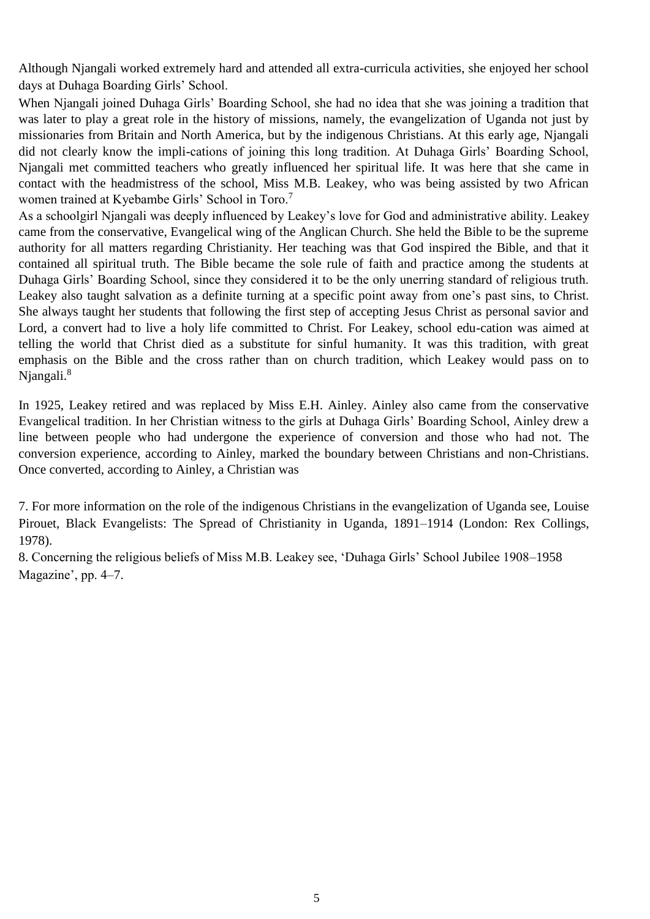Although Njangali worked extremely hard and attended all extra-curricula activities, she enjoyed her school days at Duhaga Boarding Girls' School.

When Njangali joined Duhaga Girls' Boarding School, she had no idea that she was joining a tradition that was later to play a great role in the history of missions, namely, the evangelization of Uganda not just by missionaries from Britain and North America, but by the indigenous Christians. At this early age, Njangali did not clearly know the impli-cations of joining this long tradition. At Duhaga Girls' Boarding School, Njangali met committed teachers who greatly influenced her spiritual life. It was here that she came in contact with the headmistress of the school, Miss M.B. Leakey, who was being assisted by two African women trained at Kyebambe Girls' School in Toro.<sup>7</sup>

As a schoolgirl Njangali was deeply influenced by Leakey's love for God and administrative ability. Leakey came from the conservative, Evangelical wing of the Anglican Church. She held the Bible to be the supreme authority for all matters regarding Christianity. Her teaching was that God inspired the Bible, and that it contained all spiritual truth. The Bible became the sole rule of faith and practice among the students at Duhaga Girls' Boarding School, since they considered it to be the only unerring standard of religious truth. Leakey also taught salvation as a definite turning at a specific point away from one's past sins, to Christ. She always taught her students that following the first step of accepting Jesus Christ as personal savior and Lord, a convert had to live a holy life committed to Christ. For Leakey, school edu-cation was aimed at telling the world that Christ died as a substitute for sinful humanity. It was this tradition, with great emphasis on the Bible and the cross rather than on church tradition, which Leakey would pass on to Njangali.<sup>8</sup>

In 1925, Leakey retired and was replaced by Miss E.H. Ainley. Ainley also came from the conservative Evangelical tradition. In her Christian witness to the girls at Duhaga Girls' Boarding School, Ainley drew a line between people who had undergone the experience of conversion and those who had not. The conversion experience, according to Ainley, marked the boundary between Christians and non-Christians. Once converted, according to Ainley, a Christian was

7. For more information on the role of the indigenous Christians in the evangelization of Uganda see, Louise Pirouet, Black Evangelists: The Spread of Christianity in Uganda, 1891–1914 (London: Rex Collings, 1978).

8. Concerning the religious beliefs of Miss M.B. Leakey see, 'Duhaga Girls' School Jubilee 1908–1958 Magazine', pp. 4–7.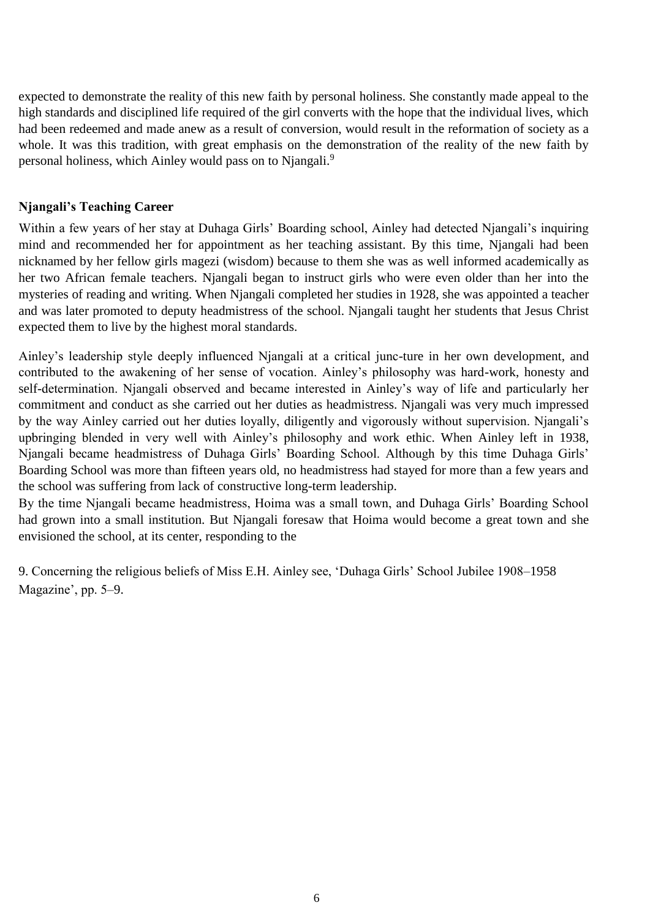expected to demonstrate the reality of this new faith by personal holiness. She constantly made appeal to the high standards and disciplined life required of the girl converts with the hope that the individual lives, which had been redeemed and made anew as a result of conversion, would result in the reformation of society as a whole. It was this tradition, with great emphasis on the demonstration of the reality of the new faith by personal holiness, which Ainley would pass on to Njangali.<sup>9</sup>

# **Njangali's Teaching Career**

Within a few years of her stay at Duhaga Girls' Boarding school, Ainley had detected Njangali's inquiring mind and recommended her for appointment as her teaching assistant. By this time, Njangali had been nicknamed by her fellow girls magezi (wisdom) because to them she was as well informed academically as her two African female teachers. Njangali began to instruct girls who were even older than her into the mysteries of reading and writing. When Njangali completed her studies in 1928, she was appointed a teacher and was later promoted to deputy headmistress of the school. Njangali taught her students that Jesus Christ expected them to live by the highest moral standards.

Ainley's leadership style deeply influenced Njangali at a critical junc-ture in her own development, and contributed to the awakening of her sense of vocation. Ainley's philosophy was hard-work, honesty and self-determination. Njangali observed and became interested in Ainley's way of life and particularly her commitment and conduct as she carried out her duties as headmistress. Njangali was very much impressed by the way Ainley carried out her duties loyally, diligently and vigorously without supervision. Njangali's upbringing blended in very well with Ainley's philosophy and work ethic. When Ainley left in 1938, Njangali became headmistress of Duhaga Girls' Boarding School. Although by this time Duhaga Girls' Boarding School was more than fifteen years old, no headmistress had stayed for more than a few years and the school was suffering from lack of constructive long-term leadership.

By the time Njangali became headmistress, Hoima was a small town, and Duhaga Girls' Boarding School had grown into a small institution. But Njangali foresaw that Hoima would become a great town and she envisioned the school, at its center, responding to the

9. Concerning the religious beliefs of Miss E.H. Ainley see, 'Duhaga Girls' School Jubilee 1908–1958 Magazine', pp. 5–9.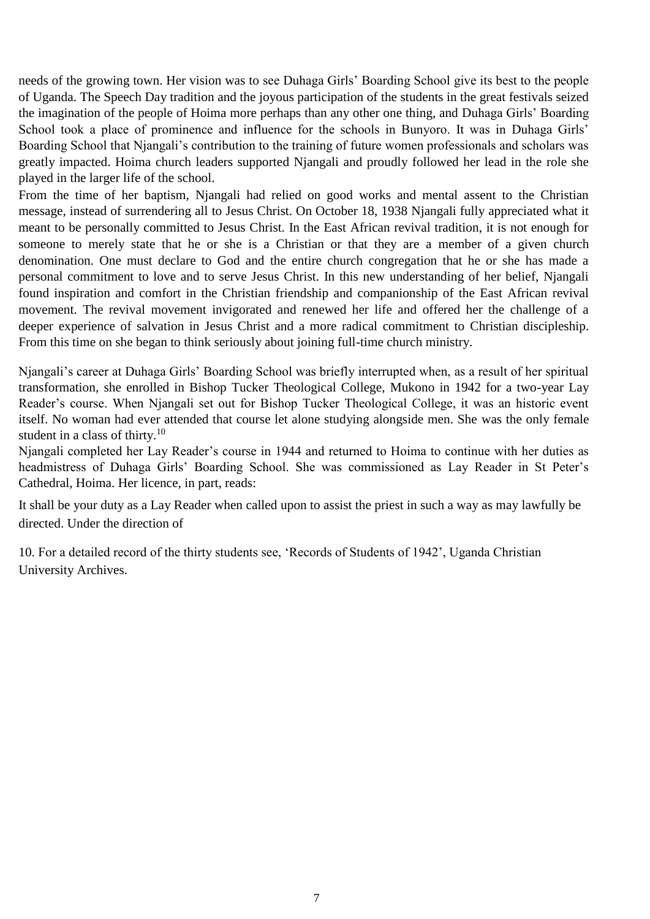needs of the growing town. Her vision was to see Duhaga Girls' Boarding School give its best to the people of Uganda. The Speech Day tradition and the joyous participation of the students in the great festivals seized the imagination of the people of Hoima more perhaps than any other one thing, and Duhaga Girls' Boarding School took a place of prominence and influence for the schools in Bunyoro. It was in Duhaga Girls' Boarding School that Njangali's contribution to the training of future women professionals and scholars was greatly impacted. Hoima church leaders supported Njangali and proudly followed her lead in the role she played in the larger life of the school.

From the time of her baptism, Njangali had relied on good works and mental assent to the Christian message, instead of surrendering all to Jesus Christ. On October 18, 1938 Njangali fully appreciated what it meant to be personally committed to Jesus Christ. In the East African revival tradition, it is not enough for someone to merely state that he or she is a Christian or that they are a member of a given church denomination. One must declare to God and the entire church congregation that he or she has made a personal commitment to love and to serve Jesus Christ. In this new understanding of her belief, Njangali found inspiration and comfort in the Christian friendship and companionship of the East African revival movement. The revival movement invigorated and renewed her life and offered her the challenge of a deeper experience of salvation in Jesus Christ and a more radical commitment to Christian discipleship. From this time on she began to think seriously about joining full-time church ministry.

Njangali's career at Duhaga Girls' Boarding School was briefly interrupted when, as a result of her spiritual transformation, she enrolled in Bishop Tucker Theological College, Mukono in 1942 for a two-year Lay Reader's course. When Njangali set out for Bishop Tucker Theological College, it was an historic event itself. No woman had ever attended that course let alone studying alongside men. She was the only female student in a class of thirty. $10$ 

Njangali completed her Lay Reader's course in 1944 and returned to Hoima to continue with her duties as headmistress of Duhaga Girls' Boarding School. She was commissioned as Lay Reader in St Peter's Cathedral, Hoima. Her licence, in part, reads:

It shall be your duty as a Lay Reader when called upon to assist the priest in such a way as may lawfully be directed. Under the direction of

10. For a detailed record of the thirty students see, 'Records of Students of 1942', Uganda Christian University Archives.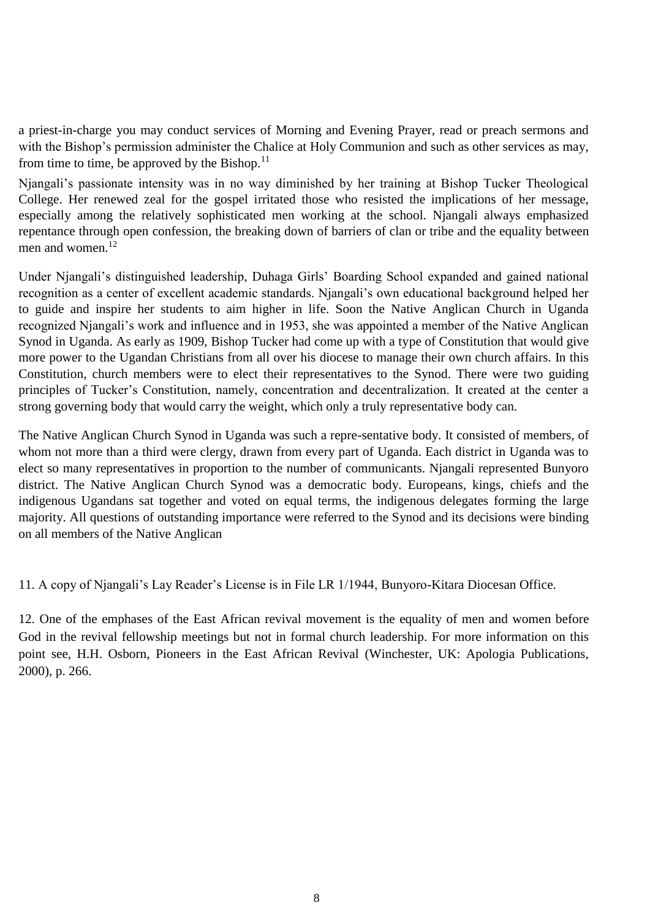a priest-in-charge you may conduct services of Morning and Evening Prayer, read or preach sermons and with the Bishop's permission administer the Chalice at Holy Communion and such as other services as may, from time to time, be approved by the Bishop. $^{11}$ 

Njangali's passionate intensity was in no way diminished by her training at Bishop Tucker Theological College. Her renewed zeal for the gospel irritated those who resisted the implications of her message, especially among the relatively sophisticated men working at the school. Njangali always emphasized repentance through open confession, the breaking down of barriers of clan or tribe and the equality between men and women $12$ 

Under Njangali's distinguished leadership, Duhaga Girls' Boarding School expanded and gained national recognition as a center of excellent academic standards. Njangali's own educational background helped her to guide and inspire her students to aim higher in life. Soon the Native Anglican Church in Uganda recognized Njangali's work and influence and in 1953, she was appointed a member of the Native Anglican Synod in Uganda. As early as 1909, Bishop Tucker had come up with a type of Constitution that would give more power to the Ugandan Christians from all over his diocese to manage their own church affairs. In this Constitution, church members were to elect their representatives to the Synod. There were two guiding principles of Tucker's Constitution, namely, concentration and decentralization. It created at the center a strong governing body that would carry the weight, which only a truly representative body can.

The Native Anglican Church Synod in Uganda was such a repre-sentative body. It consisted of members, of whom not more than a third were clergy, drawn from every part of Uganda. Each district in Uganda was to elect so many representatives in proportion to the number of communicants. Njangali represented Bunyoro district. The Native Anglican Church Synod was a democratic body. Europeans, kings, chiefs and the indigenous Ugandans sat together and voted on equal terms, the indigenous delegates forming the large majority. All questions of outstanding importance were referred to the Synod and its decisions were binding on all members of the Native Anglican

11. A copy of Njangali's Lay Reader's License is in File LR 1/1944, Bunyoro-Kitara Diocesan Office.

12. One of the emphases of the East African revival movement is the equality of men and women before God in the revival fellowship meetings but not in formal church leadership. For more information on this point see, H.H. Osborn, Pioneers in the East African Revival (Winchester, UK: Apologia Publications, 2000), p. 266.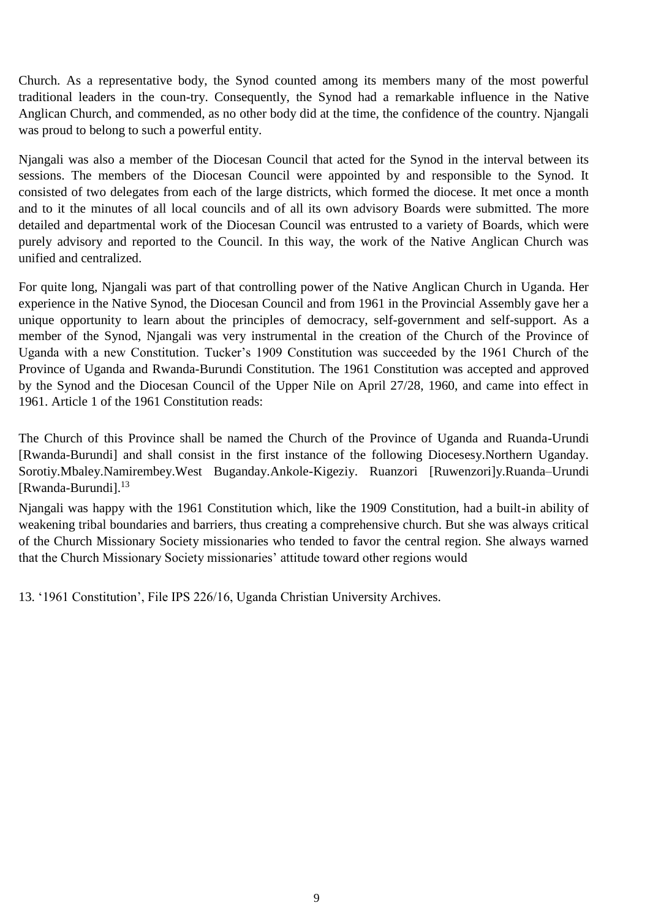Church. As a representative body, the Synod counted among its members many of the most powerful traditional leaders in the coun-try. Consequently, the Synod had a remarkable influence in the Native Anglican Church, and commended, as no other body did at the time, the confidence of the country. Njangali was proud to belong to such a powerful entity.

Njangali was also a member of the Diocesan Council that acted for the Synod in the interval between its sessions. The members of the Diocesan Council were appointed by and responsible to the Synod. It consisted of two delegates from each of the large districts, which formed the diocese. It met once a month and to it the minutes of all local councils and of all its own advisory Boards were submitted. The more detailed and departmental work of the Diocesan Council was entrusted to a variety of Boards, which were purely advisory and reported to the Council. In this way, the work of the Native Anglican Church was unified and centralized.

For quite long, Njangali was part of that controlling power of the Native Anglican Church in Uganda. Her experience in the Native Synod, the Diocesan Council and from 1961 in the Provincial Assembly gave her a unique opportunity to learn about the principles of democracy, self-government and self-support. As a member of the Synod, Njangali was very instrumental in the creation of the Church of the Province of Uganda with a new Constitution. Tucker's 1909 Constitution was succeeded by the 1961 Church of the Province of Uganda and Rwanda-Burundi Constitution. The 1961 Constitution was accepted and approved by the Synod and the Diocesan Council of the Upper Nile on April 27/28, 1960, and came into effect in 1961. Article 1 of the 1961 Constitution reads:

The Church of this Province shall be named the Church of the Province of Uganda and Ruanda-Urundi [Rwanda-Burundi] and shall consist in the first instance of the following Diocesesy.Northern Uganday. Sorotiy.Mbaley.Namirembey.West Buganday.Ankole-Kigeziy. Ruanzori [Ruwenzori]y.Ruanda–Urundi  $[Rwanda-Burundi].$ <sup>13</sup>

Njangali was happy with the 1961 Constitution which, like the 1909 Constitution, had a built-in ability of weakening tribal boundaries and barriers, thus creating a comprehensive church. But she was always critical of the Church Missionary Society missionaries who tended to favor the central region. She always warned that the Church Missionary Society missionaries' attitude toward other regions would

13. '1961 Constitution', File IPS 226/16, Uganda Christian University Archives.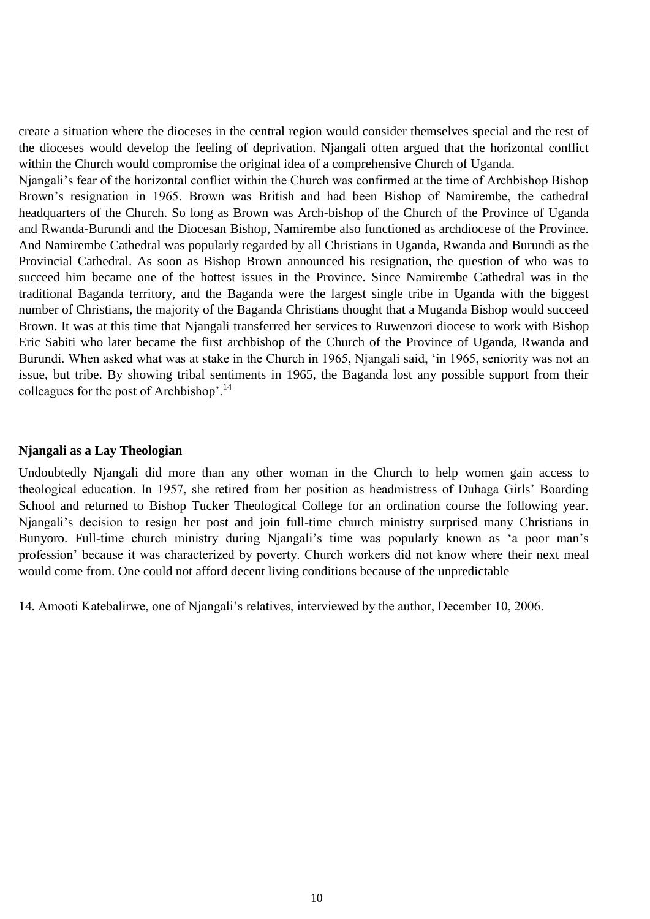create a situation where the dioceses in the central region would consider themselves special and the rest of the dioceses would develop the feeling of deprivation. Njangali often argued that the horizontal conflict within the Church would compromise the original idea of a comprehensive Church of Uganda.

Njangali's fear of the horizontal conflict within the Church was confirmed at the time of Archbishop Bishop Brown's resignation in 1965. Brown was British and had been Bishop of Namirembe, the cathedral headquarters of the Church. So long as Brown was Arch-bishop of the Church of the Province of Uganda and Rwanda-Burundi and the Diocesan Bishop, Namirembe also functioned as archdiocese of the Province. And Namirembe Cathedral was popularly regarded by all Christians in Uganda, Rwanda and Burundi as the Provincial Cathedral. As soon as Bishop Brown announced his resignation, the question of who was to succeed him became one of the hottest issues in the Province. Since Namirembe Cathedral was in the traditional Baganda territory, and the Baganda were the largest single tribe in Uganda with the biggest number of Christians, the majority of the Baganda Christians thought that a Muganda Bishop would succeed Brown. It was at this time that Njangali transferred her services to Ruwenzori diocese to work with Bishop Eric Sabiti who later became the first archbishop of the Church of the Province of Uganda, Rwanda and Burundi. When asked what was at stake in the Church in 1965, Njangali said, 'in 1965, seniority was not an issue, but tribe. By showing tribal sentiments in 1965, the Baganda lost any possible support from their colleagues for the post of Archbishop'.<sup>14</sup>

#### **Njangali as a Lay Theologian**

Undoubtedly Njangali did more than any other woman in the Church to help women gain access to theological education. In 1957, she retired from her position as headmistress of Duhaga Girls' Boarding School and returned to Bishop Tucker Theological College for an ordination course the following year. Njangali's decision to resign her post and join full-time church ministry surprised many Christians in Bunyoro. Full-time church ministry during Njangali's time was popularly known as 'a poor man's profession' because it was characterized by poverty. Church workers did not know where their next meal would come from. One could not afford decent living conditions because of the unpredictable

14. Amooti Katebalirwe, one of Njangali's relatives, interviewed by the author, December 10, 2006.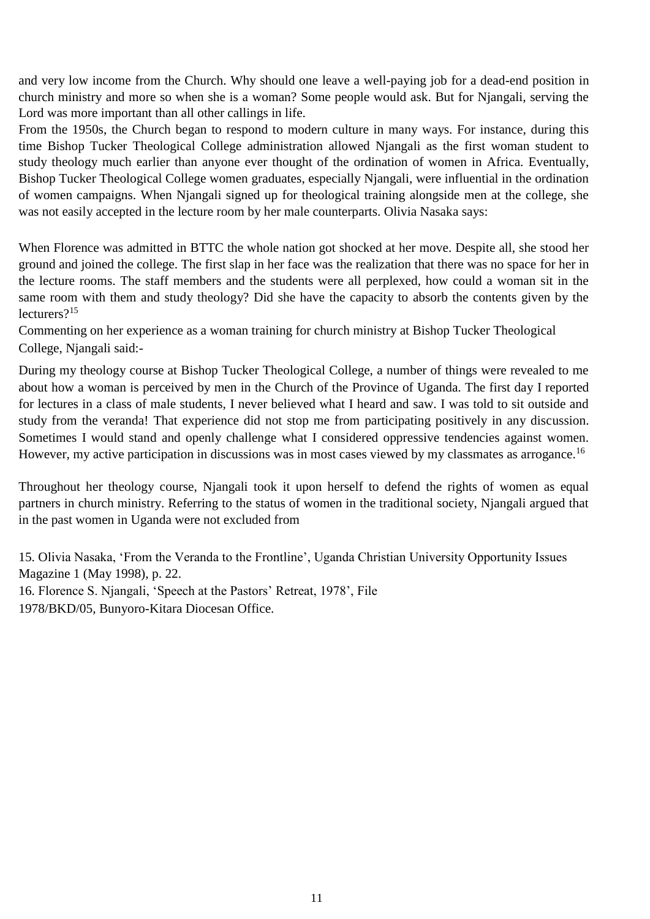and very low income from the Church. Why should one leave a well-paying job for a dead-end position in church ministry and more so when she is a woman? Some people would ask. But for Njangali, serving the Lord was more important than all other callings in life.

From the 1950s, the Church began to respond to modern culture in many ways. For instance, during this time Bishop Tucker Theological College administration allowed Njangali as the first woman student to study theology much earlier than anyone ever thought of the ordination of women in Africa. Eventually, Bishop Tucker Theological College women graduates, especially Njangali, were influential in the ordination of women campaigns. When Njangali signed up for theological training alongside men at the college, she was not easily accepted in the lecture room by her male counterparts. Olivia Nasaka says:

When Florence was admitted in BTTC the whole nation got shocked at her move. Despite all, she stood her ground and joined the college. The first slap in her face was the realization that there was no space for her in the lecture rooms. The staff members and the students were all perplexed, how could a woman sit in the same room with them and study theology? Did she have the capacity to absorb the contents given by the lecturers?<sup>15</sup>

Commenting on her experience as a woman training for church ministry at Bishop Tucker Theological College, Njangali said:-

During my theology course at Bishop Tucker Theological College, a number of things were revealed to me about how a woman is perceived by men in the Church of the Province of Uganda. The first day I reported for lectures in a class of male students, I never believed what I heard and saw. I was told to sit outside and study from the veranda! That experience did not stop me from participating positively in any discussion. Sometimes I would stand and openly challenge what I considered oppressive tendencies against women. However, my active participation in discussions was in most cases viewed by my classmates as arrogance.<sup>16</sup>

Throughout her theology course, Njangali took it upon herself to defend the rights of women as equal partners in church ministry. Referring to the status of women in the traditional society, Njangali argued that in the past women in Uganda were not excluded from

15. Olivia Nasaka, 'From the Veranda to the Frontline', Uganda Christian University Opportunity Issues Magazine 1 (May 1998), p. 22. 16. Florence S. Njangali, 'Speech at the Pastors' Retreat, 1978', File 1978/BKD/05, Bunyoro-Kitara Diocesan Office.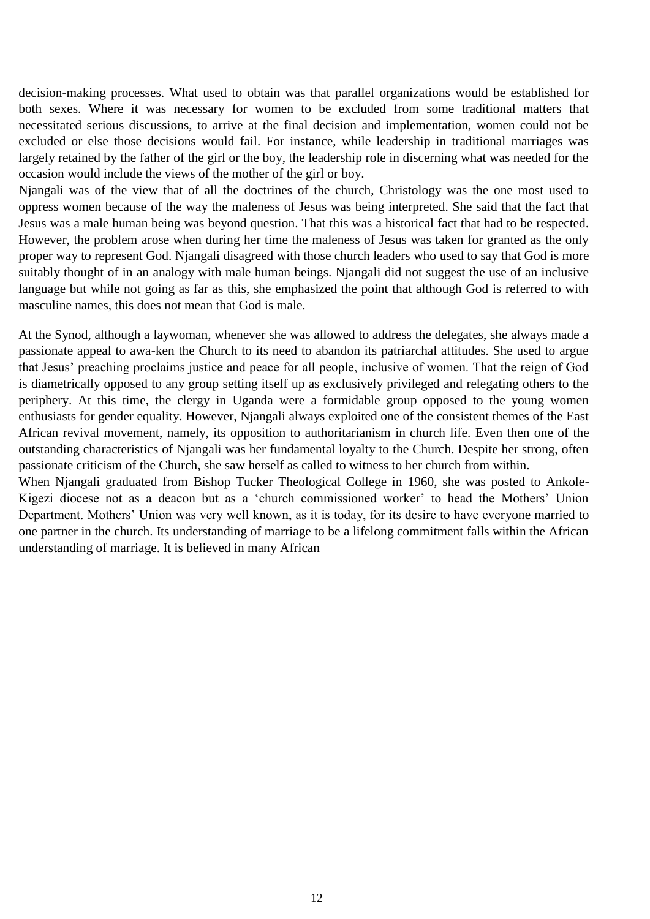decision-making processes. What used to obtain was that parallel organizations would be established for both sexes. Where it was necessary for women to be excluded from some traditional matters that necessitated serious discussions, to arrive at the final decision and implementation, women could not be excluded or else those decisions would fail. For instance, while leadership in traditional marriages was largely retained by the father of the girl or the boy, the leadership role in discerning what was needed for the occasion would include the views of the mother of the girl or boy.

Njangali was of the view that of all the doctrines of the church, Christology was the one most used to oppress women because of the way the maleness of Jesus was being interpreted. She said that the fact that Jesus was a male human being was beyond question. That this was a historical fact that had to be respected. However, the problem arose when during her time the maleness of Jesus was taken for granted as the only proper way to represent God. Njangali disagreed with those church leaders who used to say that God is more suitably thought of in an analogy with male human beings. Njangali did not suggest the use of an inclusive language but while not going as far as this, she emphasized the point that although God is referred to with masculine names, this does not mean that God is male.

At the Synod, although a laywoman, whenever she was allowed to address the delegates, she always made a passionate appeal to awa-ken the Church to its need to abandon its patriarchal attitudes. She used to argue that Jesus' preaching proclaims justice and peace for all people, inclusive of women. That the reign of God is diametrically opposed to any group setting itself up as exclusively privileged and relegating others to the periphery. At this time, the clergy in Uganda were a formidable group opposed to the young women enthusiasts for gender equality. However, Njangali always exploited one of the consistent themes of the East African revival movement, namely, its opposition to authoritarianism in church life. Even then one of the outstanding characteristics of Njangali was her fundamental loyalty to the Church. Despite her strong, often passionate criticism of the Church, she saw herself as called to witness to her church from within.

When Njangali graduated from Bishop Tucker Theological College in 1960, she was posted to Ankole-Kigezi diocese not as a deacon but as a 'church commissioned worker' to head the Mothers' Union Department. Mothers' Union was very well known, as it is today, for its desire to have everyone married to one partner in the church. Its understanding of marriage to be a lifelong commitment falls within the African understanding of marriage. It is believed in many African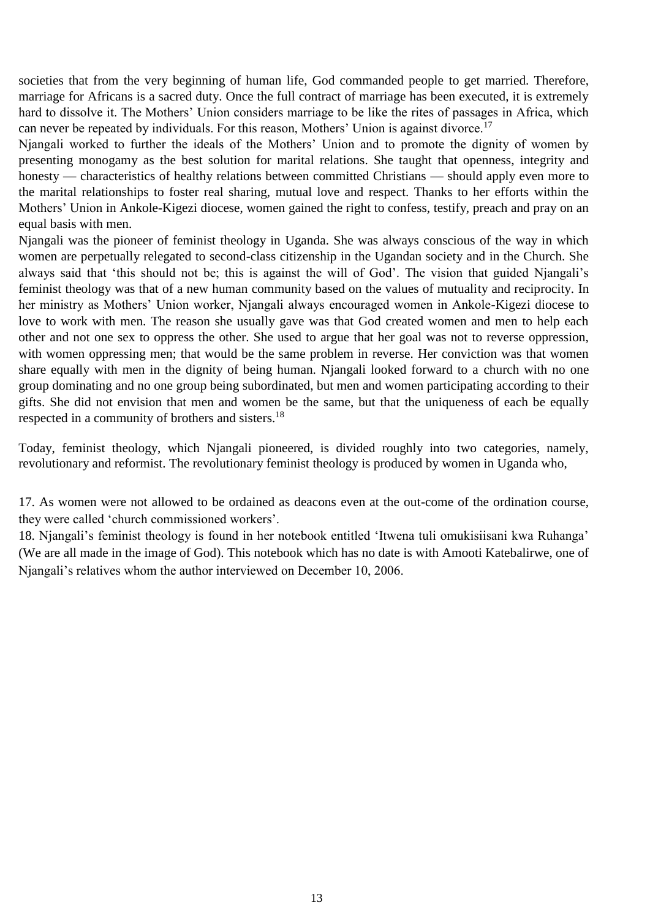societies that from the very beginning of human life, God commanded people to get married. Therefore, marriage for Africans is a sacred duty. Once the full contract of marriage has been executed, it is extremely hard to dissolve it. The Mothers' Union considers marriage to be like the rites of passages in Africa, which can never be repeated by individuals. For this reason, Mothers' Union is against divorce.<sup>17</sup>

Njangali worked to further the ideals of the Mothers' Union and to promote the dignity of women by presenting monogamy as the best solution for marital relations. She taught that openness, integrity and honesty — characteristics of healthy relations between committed Christians — should apply even more to the marital relationships to foster real sharing, mutual love and respect. Thanks to her efforts within the Mothers' Union in Ankole-Kigezi diocese, women gained the right to confess, testify, preach and pray on an equal basis with men.

Njangali was the pioneer of feminist theology in Uganda. She was always conscious of the way in which women are perpetually relegated to second-class citizenship in the Ugandan society and in the Church. She always said that 'this should not be; this is against the will of God'. The vision that guided Njangali's feminist theology was that of a new human community based on the values of mutuality and reciprocity. In her ministry as Mothers' Union worker, Njangali always encouraged women in Ankole-Kigezi diocese to love to work with men. The reason she usually gave was that God created women and men to help each other and not one sex to oppress the other. She used to argue that her goal was not to reverse oppression, with women oppressing men; that would be the same problem in reverse. Her conviction was that women share equally with men in the dignity of being human. Njangali looked forward to a church with no one group dominating and no one group being subordinated, but men and women participating according to their gifts. She did not envision that men and women be the same, but that the uniqueness of each be equally respected in a community of brothers and sisters.<sup>18</sup>

Today, feminist theology, which Njangali pioneered, is divided roughly into two categories, namely, revolutionary and reformist. The revolutionary feminist theology is produced by women in Uganda who,

17. As women were not allowed to be ordained as deacons even at the out-come of the ordination course, they were called 'church commissioned workers'.

18. Njangali's feminist theology is found in her notebook entitled 'Itwena tuli omukisiisani kwa Ruhanga' (We are all made in the image of God). This notebook which has no date is with Amooti Katebalirwe, one of Niangali's relatives whom the author interviewed on December 10, 2006.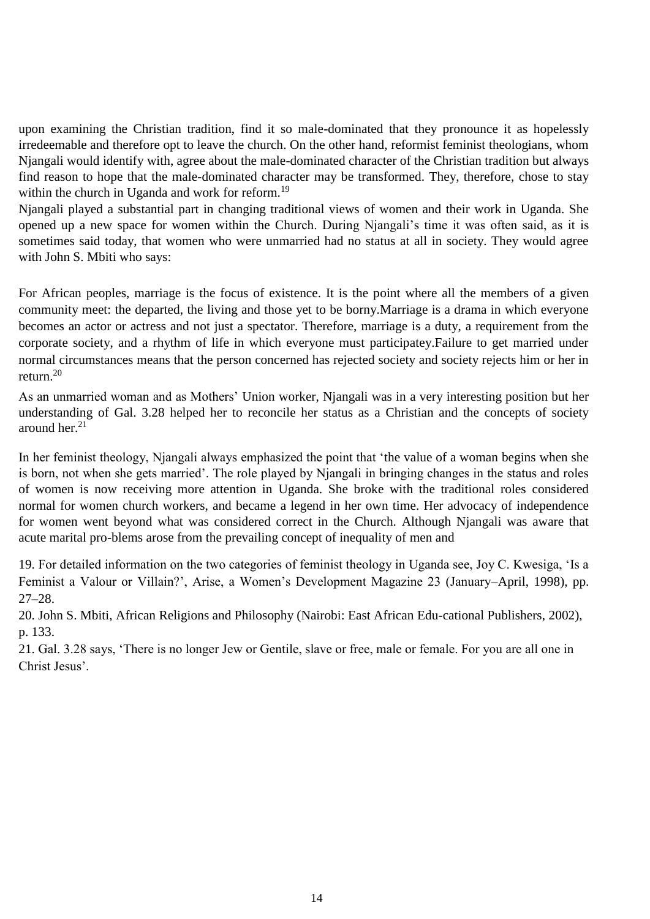upon examining the Christian tradition, find it so male-dominated that they pronounce it as hopelessly irredeemable and therefore opt to leave the church. On the other hand, reformist feminist theologians, whom Njangali would identify with, agree about the male-dominated character of the Christian tradition but always find reason to hope that the male-dominated character may be transformed. They, therefore, chose to stay within the church in Uganda and work for reform.<sup>19</sup>

Njangali played a substantial part in changing traditional views of women and their work in Uganda. She opened up a new space for women within the Church. During Njangali's time it was often said, as it is sometimes said today, that women who were unmarried had no status at all in society. They would agree with John S. Mbiti who says:

For African peoples, marriage is the focus of existence. It is the point where all the members of a given community meet: the departed, the living and those yet to be borny.Marriage is a drama in which everyone becomes an actor or actress and not just a spectator. Therefore, marriage is a duty, a requirement from the corporate society, and a rhythm of life in which everyone must participatey.Failure to get married under normal circumstances means that the person concerned has rejected society and society rejects him or her in return.<sup>20</sup>

As an unmarried woman and as Mothers' Union worker, Njangali was in a very interesting position but her understanding of Gal. 3.28 helped her to reconcile her status as a Christian and the concepts of society around her $21$ 

In her feminist theology, Njangali always emphasized the point that 'the value of a woman begins when she is born, not when she gets married'. The role played by Njangali in bringing changes in the status and roles of women is now receiving more attention in Uganda. She broke with the traditional roles considered normal for women church workers, and became a legend in her own time. Her advocacy of independence for women went beyond what was considered correct in the Church. Although Njangali was aware that acute marital pro-blems arose from the prevailing concept of inequality of men and

19. For detailed information on the two categories of feminist theology in Uganda see, Joy C. Kwesiga, 'Is a Feminist a Valour or Villain?', Arise, a Women's Development Magazine 23 (January–April, 1998), pp. 27–28.

20. John S. Mbiti, African Religions and Philosophy (Nairobi: East African Edu-cational Publishers, 2002), p. 133.

21. Gal. 3.28 says, 'There is no longer Jew or Gentile, slave or free, male or female. For you are all one in Christ Jesus'.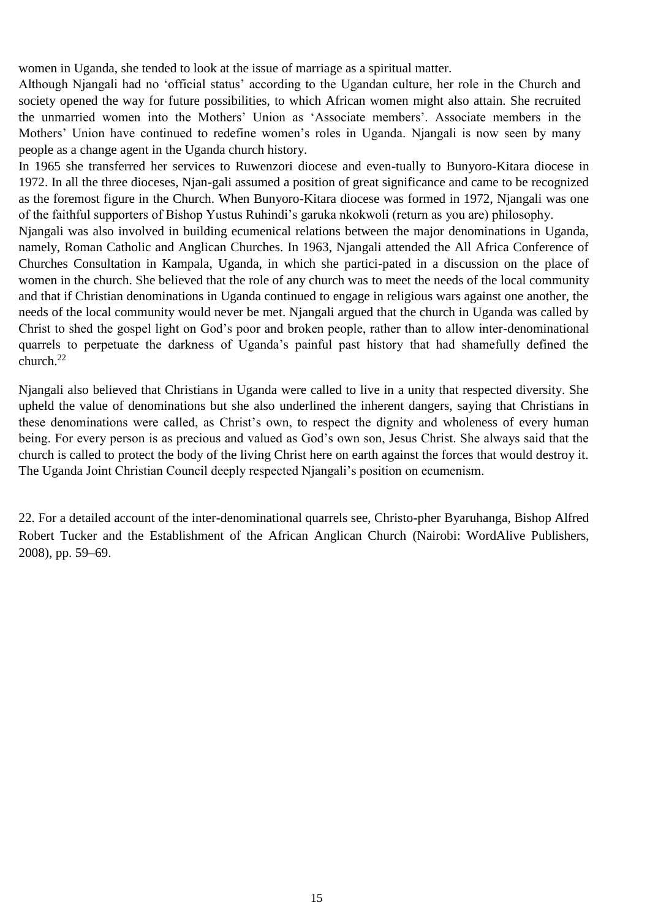women in Uganda, she tended to look at the issue of marriage as a spiritual matter.

Although Njangali had no 'official status' according to the Ugandan culture, her role in the Church and society opened the way for future possibilities, to which African women might also attain. She recruited the unmarried women into the Mothers' Union as 'Associate members'. Associate members in the Mothers' Union have continued to redefine women's roles in Uganda. Njangali is now seen by many people as a change agent in the Uganda church history.

In 1965 she transferred her services to Ruwenzori diocese and even-tually to Bunyoro-Kitara diocese in 1972. In all the three dioceses, Njan-gali assumed a position of great significance and came to be recognized as the foremost figure in the Church. When Bunyoro-Kitara diocese was formed in 1972, Njangali was one of the faithful supporters of Bishop Yustus Ruhindi's garuka nkokwoli (return as you are) philosophy.

Njangali was also involved in building ecumenical relations between the major denominations in Uganda, namely, Roman Catholic and Anglican Churches. In 1963, Njangali attended the All Africa Conference of Churches Consultation in Kampala, Uganda, in which she partici-pated in a discussion on the place of women in the church. She believed that the role of any church was to meet the needs of the local community and that if Christian denominations in Uganda continued to engage in religious wars against one another, the needs of the local community would never be met. Njangali argued that the church in Uganda was called by Christ to shed the gospel light on God's poor and broken people, rather than to allow inter-denominational quarrels to perpetuate the darkness of Uganda's painful past history that had shamefully defined the church.<sup>22</sup>

Njangali also believed that Christians in Uganda were called to live in a unity that respected diversity. She upheld the value of denominations but she also underlined the inherent dangers, saying that Christians in these denominations were called, as Christ's own, to respect the dignity and wholeness of every human being. For every person is as precious and valued as God's own son, Jesus Christ. She always said that the church is called to protect the body of the living Christ here on earth against the forces that would destroy it. The Uganda Joint Christian Council deeply respected Njangali's position on ecumenism.

22. For a detailed account of the inter-denominational quarrels see, Christo-pher Byaruhanga, Bishop Alfred Robert Tucker and the Establishment of the African Anglican Church (Nairobi: WordAlive Publishers, 2008), pp. 59–69.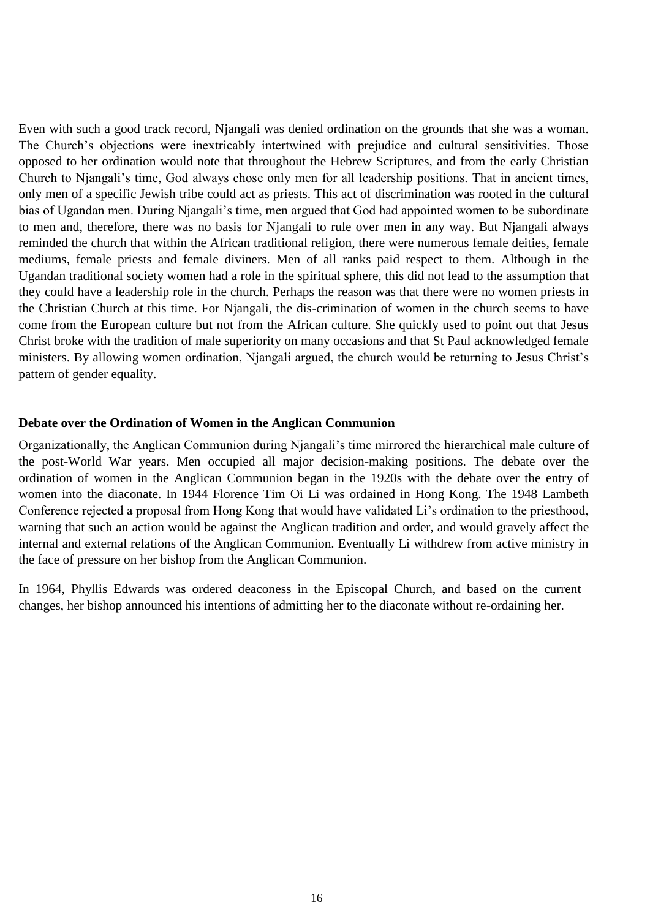Even with such a good track record, Njangali was denied ordination on the grounds that she was a woman. The Church's objections were inextricably intertwined with prejudice and cultural sensitivities. Those opposed to her ordination would note that throughout the Hebrew Scriptures, and from the early Christian Church to Njangali's time, God always chose only men for all leadership positions. That in ancient times, only men of a specific Jewish tribe could act as priests. This act of discrimination was rooted in the cultural bias of Ugandan men. During Njangali's time, men argued that God had appointed women to be subordinate to men and, therefore, there was no basis for Njangali to rule over men in any way. But Njangali always reminded the church that within the African traditional religion, there were numerous female deities, female mediums, female priests and female diviners. Men of all ranks paid respect to them. Although in the Ugandan traditional society women had a role in the spiritual sphere, this did not lead to the assumption that they could have a leadership role in the church. Perhaps the reason was that there were no women priests in the Christian Church at this time. For Njangali, the dis-crimination of women in the church seems to have come from the European culture but not from the African culture. She quickly used to point out that Jesus Christ broke with the tradition of male superiority on many occasions and that St Paul acknowledged female ministers. By allowing women ordination, Njangali argued, the church would be returning to Jesus Christ's pattern of gender equality.

#### **Debate over the Ordination of Women in the Anglican Communion**

Organizationally, the Anglican Communion during Njangali's time mirrored the hierarchical male culture of the post-World War years. Men occupied all major decision-making positions. The debate over the ordination of women in the Anglican Communion began in the 1920s with the debate over the entry of women into the diaconate. In 1944 Florence Tim Oi Li was ordained in Hong Kong. The 1948 Lambeth Conference rejected a proposal from Hong Kong that would have validated Li's ordination to the priesthood, warning that such an action would be against the Anglican tradition and order, and would gravely affect the internal and external relations of the Anglican Communion. Eventually Li withdrew from active ministry in the face of pressure on her bishop from the Anglican Communion.

In 1964, Phyllis Edwards was ordered deaconess in the Episcopal Church, and based on the current changes, her bishop announced his intentions of admitting her to the diaconate without re-ordaining her.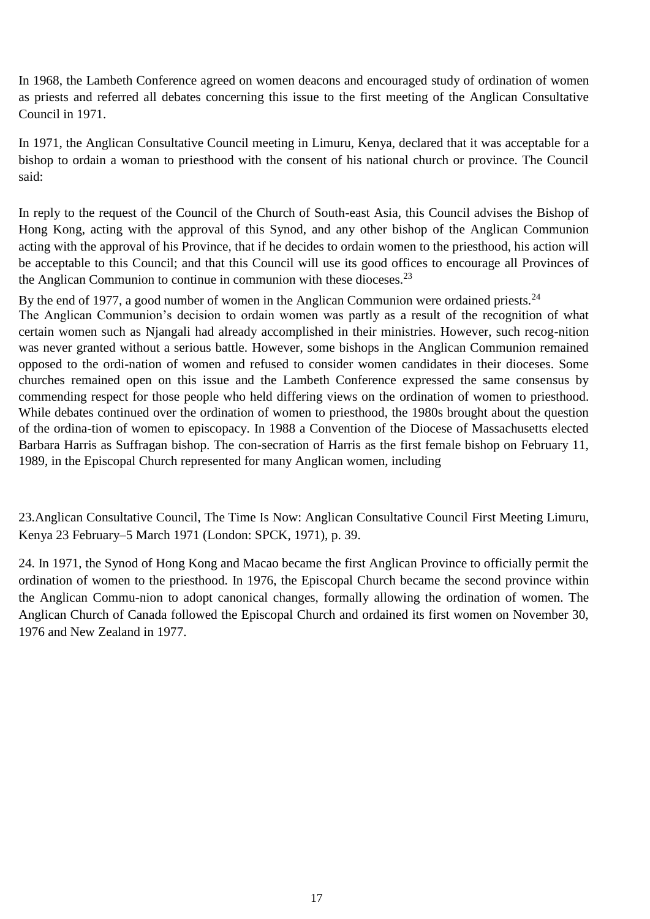In 1968, the Lambeth Conference agreed on women deacons and encouraged study of ordination of women as priests and referred all debates concerning this issue to the first meeting of the Anglican Consultative Council in 1971.

In 1971, the Anglican Consultative Council meeting in Limuru, Kenya, declared that it was acceptable for a bishop to ordain a woman to priesthood with the consent of his national church or province. The Council said:

In reply to the request of the Council of the Church of South-east Asia, this Council advises the Bishop of Hong Kong, acting with the approval of this Synod, and any other bishop of the Anglican Communion acting with the approval of his Province, that if he decides to ordain women to the priesthood, his action will be acceptable to this Council; and that this Council will use its good offices to encourage all Provinces of the Anglican Communion to continue in communion with these dioceses.<sup>23</sup>

By the end of 1977, a good number of women in the Anglican Communion were ordained priests.<sup>24</sup>

The Anglican Communion's decision to ordain women was partly as a result of the recognition of what certain women such as Njangali had already accomplished in their ministries. However, such recog-nition was never granted without a serious battle. However, some bishops in the Anglican Communion remained opposed to the ordi-nation of women and refused to consider women candidates in their dioceses. Some churches remained open on this issue and the Lambeth Conference expressed the same consensus by commending respect for those people who held differing views on the ordination of women to priesthood. While debates continued over the ordination of women to priesthood, the 1980s brought about the question of the ordina-tion of women to episcopacy. In 1988 a Convention of the Diocese of Massachusetts elected Barbara Harris as Suffragan bishop. The con-secration of Harris as the first female bishop on February 11, 1989, in the Episcopal Church represented for many Anglican women, including

23.Anglican Consultative Council, The Time Is Now: Anglican Consultative Council First Meeting Limuru, Kenya 23 February–5 March 1971 (London: SPCK, 1971), p. 39.

24. In 1971, the Synod of Hong Kong and Macao became the first Anglican Province to officially permit the ordination of women to the priesthood. In 1976, the Episcopal Church became the second province within the Anglican Commu-nion to adopt canonical changes, formally allowing the ordination of women. The Anglican Church of Canada followed the Episcopal Church and ordained its first women on November 30, 1976 and New Zealand in 1977.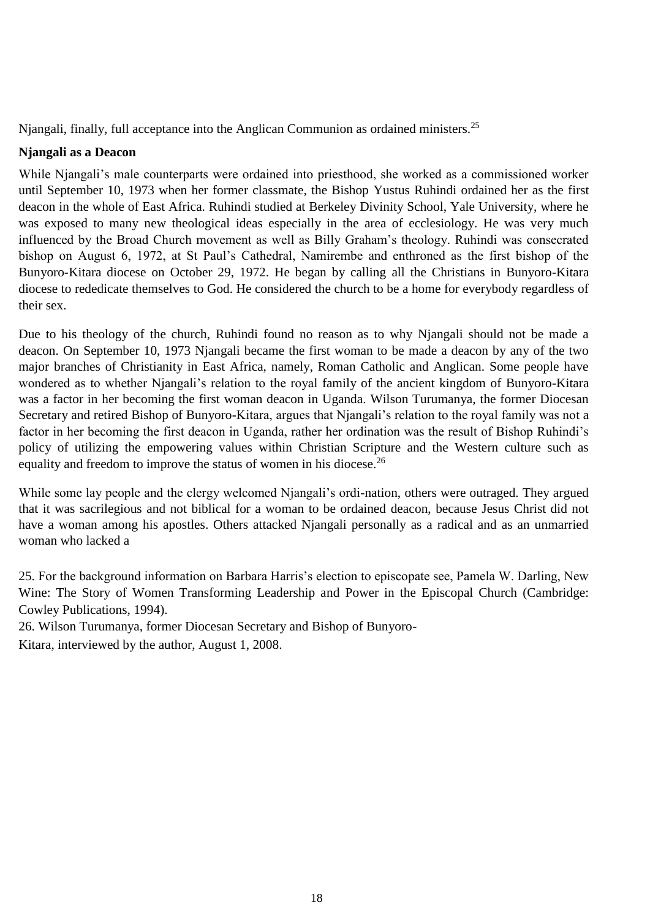Njangali, finally, full acceptance into the Anglican Communion as ordained ministers.<sup>25</sup>

# **Njangali as a Deacon**

While Njangali's male counterparts were ordained into priesthood, she worked as a commissioned worker until September 10, 1973 when her former classmate, the Bishop Yustus Ruhindi ordained her as the first deacon in the whole of East Africa. Ruhindi studied at Berkeley Divinity School, Yale University, where he was exposed to many new theological ideas especially in the area of ecclesiology. He was very much influenced by the Broad Church movement as well as Billy Graham's theology. Ruhindi was consecrated bishop on August 6, 1972, at St Paul's Cathedral, Namirembe and enthroned as the first bishop of the Bunyoro-Kitara diocese on October 29, 1972. He began by calling all the Christians in Bunyoro-Kitara diocese to rededicate themselves to God. He considered the church to be a home for everybody regardless of their sex.

Due to his theology of the church, Ruhindi found no reason as to why Njangali should not be made a deacon. On September 10, 1973 Njangali became the first woman to be made a deacon by any of the two major branches of Christianity in East Africa, namely, Roman Catholic and Anglican. Some people have wondered as to whether Njangali's relation to the royal family of the ancient kingdom of Bunyoro-Kitara was a factor in her becoming the first woman deacon in Uganda. Wilson Turumanya, the former Diocesan Secretary and retired Bishop of Bunyoro-Kitara, argues that Njangali's relation to the royal family was not a factor in her becoming the first deacon in Uganda, rather her ordination was the result of Bishop Ruhindi's policy of utilizing the empowering values within Christian Scripture and the Western culture such as equality and freedom to improve the status of women in his diocese.<sup>26</sup>

While some lay people and the clergy welcomed Njangali's ordi-nation, others were outraged. They argued that it was sacrilegious and not biblical for a woman to be ordained deacon, because Jesus Christ did not have a woman among his apostles. Others attacked Njangali personally as a radical and as an unmarried woman who lacked a

25. For the background information on Barbara Harris's election to episcopate see, Pamela W. Darling, New Wine: The Story of Women Transforming Leadership and Power in the Episcopal Church (Cambridge: Cowley Publications, 1994).

26. Wilson Turumanya, former Diocesan Secretary and Bishop of Bunyoro-

Kitara, interviewed by the author, August 1, 2008.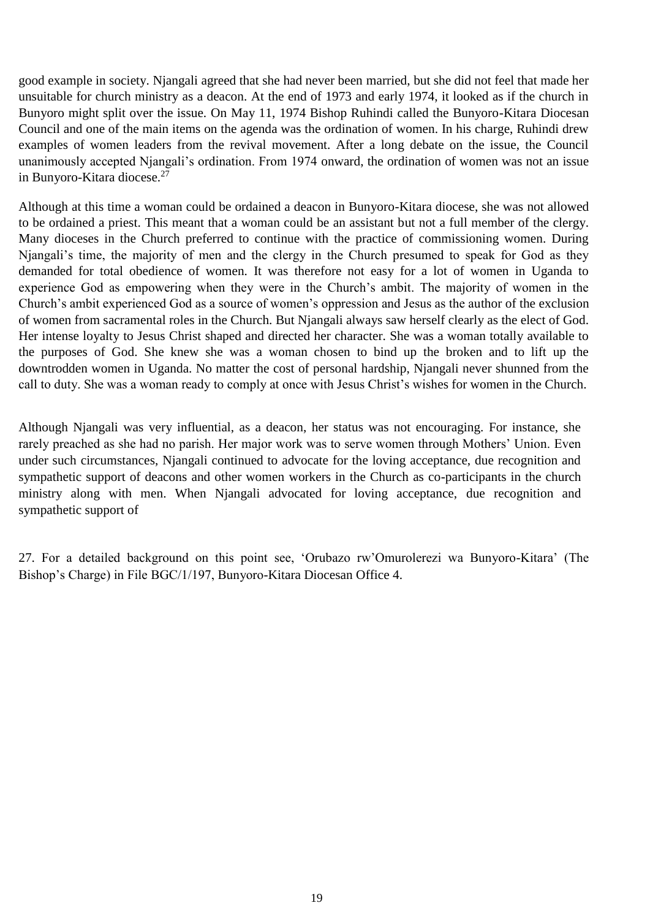good example in society. Njangali agreed that she had never been married, but she did not feel that made her unsuitable for church ministry as a deacon. At the end of 1973 and early 1974, it looked as if the church in Bunyoro might split over the issue. On May 11, 1974 Bishop Ruhindi called the Bunyoro-Kitara Diocesan Council and one of the main items on the agenda was the ordination of women. In his charge, Ruhindi drew examples of women leaders from the revival movement. After a long debate on the issue, the Council unanimously accepted Njangali's ordination. From 1974 onward, the ordination of women was not an issue in Bunyoro-Kitara diocese.<sup>27</sup>

Although at this time a woman could be ordained a deacon in Bunyoro-Kitara diocese, she was not allowed to be ordained a priest. This meant that a woman could be an assistant but not a full member of the clergy. Many dioceses in the Church preferred to continue with the practice of commissioning women. During Njangali's time, the majority of men and the clergy in the Church presumed to speak for God as they demanded for total obedience of women. It was therefore not easy for a lot of women in Uganda to experience God as empowering when they were in the Church's ambit. The majority of women in the Church's ambit experienced God as a source of women's oppression and Jesus as the author of the exclusion of women from sacramental roles in the Church. But Njangali always saw herself clearly as the elect of God. Her intense loyalty to Jesus Christ shaped and directed her character. She was a woman totally available to the purposes of God. She knew she was a woman chosen to bind up the broken and to lift up the downtrodden women in Uganda. No matter the cost of personal hardship, Njangali never shunned from the call to duty. She was a woman ready to comply at once with Jesus Christ's wishes for women in the Church.

Although Njangali was very influential, as a deacon, her status was not encouraging. For instance, she rarely preached as she had no parish. Her major work was to serve women through Mothers' Union. Even under such circumstances, Njangali continued to advocate for the loving acceptance, due recognition and sympathetic support of deacons and other women workers in the Church as co-participants in the church ministry along with men. When Njangali advocated for loving acceptance, due recognition and sympathetic support of

27. For a detailed background on this point see, 'Orubazo rw'Omurolerezi wa Bunyoro-Kitara' (The Bishop's Charge) in File BGC/1/197, Bunyoro-Kitara Diocesan Office 4.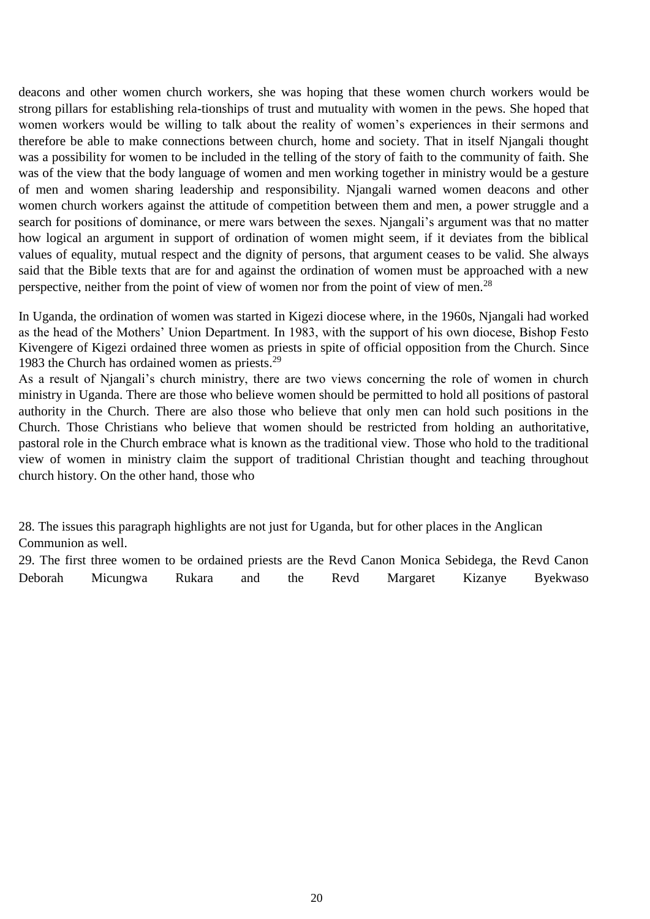deacons and other women church workers, she was hoping that these women church workers would be strong pillars for establishing rela-tionships of trust and mutuality with women in the pews. She hoped that women workers would be willing to talk about the reality of women's experiences in their sermons and therefore be able to make connections between church, home and society. That in itself Njangali thought was a possibility for women to be included in the telling of the story of faith to the community of faith. She was of the view that the body language of women and men working together in ministry would be a gesture of men and women sharing leadership and responsibility. Njangali warned women deacons and other women church workers against the attitude of competition between them and men, a power struggle and a search for positions of dominance, or mere wars between the sexes. Njangali's argument was that no matter how logical an argument in support of ordination of women might seem, if it deviates from the biblical values of equality, mutual respect and the dignity of persons, that argument ceases to be valid. She always said that the Bible texts that are for and against the ordination of women must be approached with a new perspective, neither from the point of view of women nor from the point of view of men.<sup>28</sup>

In Uganda, the ordination of women was started in Kigezi diocese where, in the 1960s, Njangali had worked as the head of the Mothers' Union Department. In 1983, with the support of his own diocese, Bishop Festo Kivengere of Kigezi ordained three women as priests in spite of official opposition from the Church. Since 1983 the Church has ordained women as priests.<sup>29</sup>

As a result of Njangali's church ministry, there are two views concerning the role of women in church ministry in Uganda. There are those who believe women should be permitted to hold all positions of pastoral authority in the Church. There are also those who believe that only men can hold such positions in the Church. Those Christians who believe that women should be restricted from holding an authoritative, pastoral role in the Church embrace what is known as the traditional view. Those who hold to the traditional view of women in ministry claim the support of traditional Christian thought and teaching throughout church history. On the other hand, those who

28. The issues this paragraph highlights are not just for Uganda, but for other places in the Anglican Communion as well.

29. The first three women to be ordained priests are the Revd Canon Monica Sebidega, the Revd Canon Deborah Micungwa Rukara and the Revd Margaret Kizanye Byekwaso